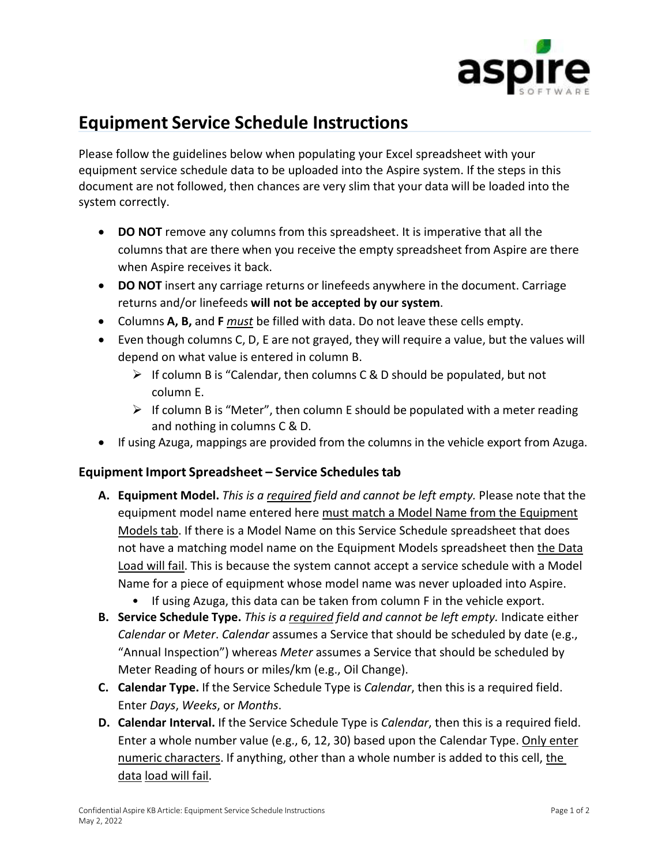

## **Equipment Service Schedule Instructions**

Please follow the guidelines below when populating your Excel spreadsheet with your equipment service schedule data to be uploaded into the Aspire system. If the steps in this document are not followed, then chances are very slim that your data will be loaded into the system correctly.

- **DO NOT** remove any columns from this spreadsheet. It is imperative that all the columns that are there when you receive the empty spreadsheet from Aspire are there when Aspire receives it back.
- **DO NOT** insert any carriage returns or linefeeds anywhere in the document. Carriage returns and/or linefeeds **will not be accepted by our system**.
- Columns **A, B,** and **F** *must* be filled with data. Do not leave these cells empty.
- Even though columns C, D, E are not grayed, they will require a value, but the values will depend on what value is entered in column B.
	- $\triangleright$  If column B is "Calendar, then columns C & D should be populated, but not column E.
	- $\triangleright$  If column B is "Meter", then column E should be populated with a meter reading and nothing in columns C & D.
- If using Azuga, mappings are provided from the columns in the vehicle export from Azuga.

## **Equipment Import Spreadsheet – Service Schedulestab**

- **A. Equipment Model.** *This is a required field and cannot be left empty.* Please note that the equipment model name entered here must match a Model Name from the Equipment Models tab. If there is a Model Name on this Service Schedule spreadsheet that does not have a matching model name on the Equipment Models spreadsheet then the Data Load will fail. This is because the system cannot accept a service schedule with a Model Name for a piece of equipment whose model name was never uploaded into Aspire.
	- If using Azuga, this data can be taken from column F in the vehicle export.
- **B. Service Schedule Type.** *This is a required field and cannot be left empty.* Indicate either *Calendar* or *Meter*. *Calendar* assumes a Service that should be scheduled by date (e.g., "Annual Inspection") whereas *Meter* assumes a Service that should be scheduled by Meter Reading of hours or miles/km (e.g., Oil Change).
- **C. Calendar Type.** If the Service Schedule Type is *Calendar*, then this is a required field. Enter *Days*, *Weeks*, or *Months*.
- **D. Calendar Interval.** If the Service Schedule Type is *Calendar*, then this is a required field. Enter a whole number value (e.g., 6, 12, 30) based upon the Calendar Type. Only enter numeric characters. If anything, other than a whole number is added to this cell, the data load will fail.